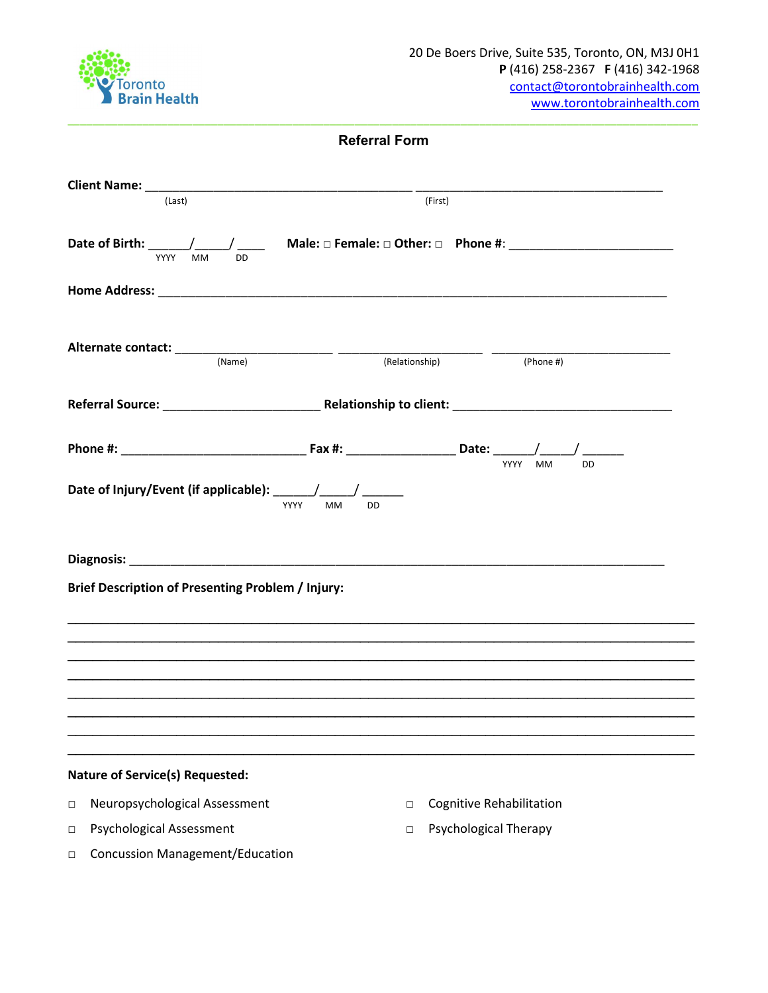

| (Last)                                                   | (First) |                                 |
|----------------------------------------------------------|---------|---------------------------------|
| YYYY<br><b>MM</b><br><b>DD</b>                           |         |                                 |
|                                                          |         |                                 |
|                                                          |         | $(Phone \#)$                    |
|                                                          |         |                                 |
|                                                          |         |                                 |
| <b>MM</b><br><b>DD</b><br>YYYY                           |         |                                 |
|                                                          |         |                                 |
| <b>Brief Description of Presenting Problem / Injury:</b> |         |                                 |
|                                                          |         |                                 |
|                                                          |         |                                 |
|                                                          |         |                                 |
|                                                          |         |                                 |
|                                                          |         |                                 |
| <b>Nature of Service(s) Requested:</b>                   |         |                                 |
| Neuropsychological Assessment<br>$\Box$                  | $\Box$  | <b>Cognitive Rehabilitation</b> |
| <b>Psychological Assessment</b><br>$\Box$                | $\Box$  | <b>Psychological Therapy</b>    |

□ Concussion Management/Education